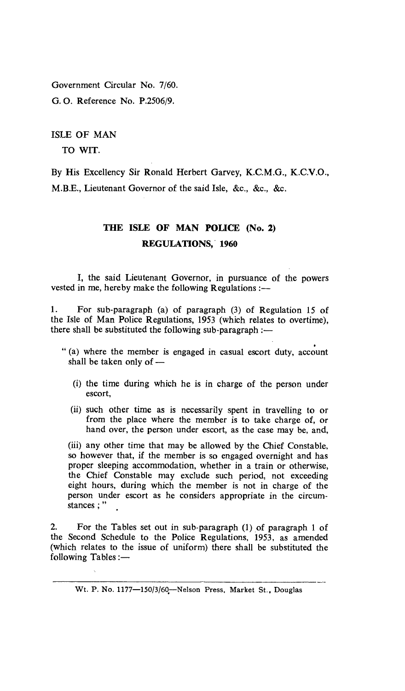Government Circular No. 7/60. G. **O.** Reference No. P.2506/9.

ISLE OF MAN

TO WIT.

By His Excellency Sir Ronald Herbert Garvey, K.C.M.G., K.C.V.O., M.B.E., Lieutenant Governor of the said Isle, &c., &c., &c.

## **THE ISLE OF MAN POLICE (No. 2) REGULATIONS, 1960**

I, the said Lieutenant Governor, in pursuance of the powers vested in me, hereby make the following Regulations :—

1. For sub-paragraph (a) of paragraph (3) of Regulation 15 of the Isle of Man Police Regulations, 1953 (which relates to overtime), there shall be substituted the following sub-paragraph :—

- " (a) where the member is engaged in casual escort duty, account shall be taken only of —
	- (i) the time during which he is in charge of the person under escort,
	- (ii) such other time as is necessarily spent in travelling to or from the place where the member is to take charge of, or hand over, the person under escort, as the case may be, and,

(iii) any other time that may be allowed by the Chief Constable, so however that, if the member is so engaged overnight and has proper sleeping accommodation, whether in a train or otherwise, the Chief Constable may exclude such period, not exceeding eight hours, during which the member is not in charge of the person under escort as he considers appropriate in the circumstances ; "

2. For the Tables set out in sub-paragraph (1) of paragraph 1 of the Second Schedule to the Police Regulations, 1953, as amended (which relates to the issue of uniform) there shall be substituted the following Tables :—

Wt. P. No. 1177-150/3/60-Nelson Press, Market St., Douglas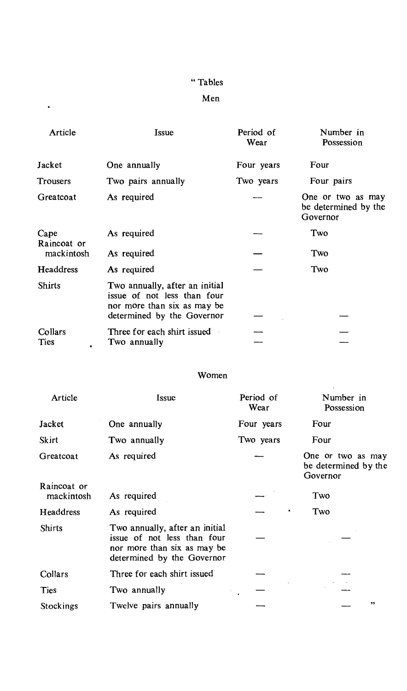# " Tables

### Men

 $\hat{\mathbf{v}}$ 

| Article                           | Issue                                                                                                                      | Period of<br>Wear | Number in<br>Possession                               |
|-----------------------------------|----------------------------------------------------------------------------------------------------------------------------|-------------------|-------------------------------------------------------|
| Jacket                            | One annually                                                                                                               | Four years        | Four                                                  |
| Trousers                          | Two pairs annually                                                                                                         | Two years         | Four pairs                                            |
| Greatcoat                         | As required                                                                                                                |                   | One or two as may<br>be determined by the<br>Governor |
| Cape<br>Raincoat or<br>mackintosh | As required                                                                                                                |                   | Two                                                   |
|                                   | As required                                                                                                                |                   | Two                                                   |
| <b>Headdress</b>                  | As required                                                                                                                |                   | Two                                                   |
| <b>Shirts</b>                     | Two annually, after an initial<br>issue of not less than four<br>nor more than six as may be<br>determined by the Governor |                   |                                                       |
| Collars<br>Ties                   | Three for each shirt issued<br>Two annually                                                                                |                   |                                                       |

## Women

 $\sim$ 

| Article                   | Issue                                                                                                                      | Period of<br>Wear | Number in<br>Possession                               |
|---------------------------|----------------------------------------------------------------------------------------------------------------------------|-------------------|-------------------------------------------------------|
| Jacket                    | One annually                                                                                                               | Four years        | Four                                                  |
| Skirt                     | Two annually                                                                                                               | Two years         | Four                                                  |
| Greatcoat                 | As required                                                                                                                |                   | One or two as may<br>be determined by the<br>Governor |
| Raincoat or<br>mackintosh | As required                                                                                                                |                   | Two                                                   |
| Headdress                 | As required                                                                                                                |                   | Two                                                   |
| <b>Shirts</b>             | Two annually, after an initial<br>issue of not less than four<br>nor more than six as may be<br>determined by the Governor |                   |                                                       |
| Collars                   | Three for each shirt issued                                                                                                |                   |                                                       |
| Ties                      | Two annually                                                                                                               |                   |                                                       |
| Stockings                 | Twelve pairs annually                                                                                                      |                   | ,,                                                    |